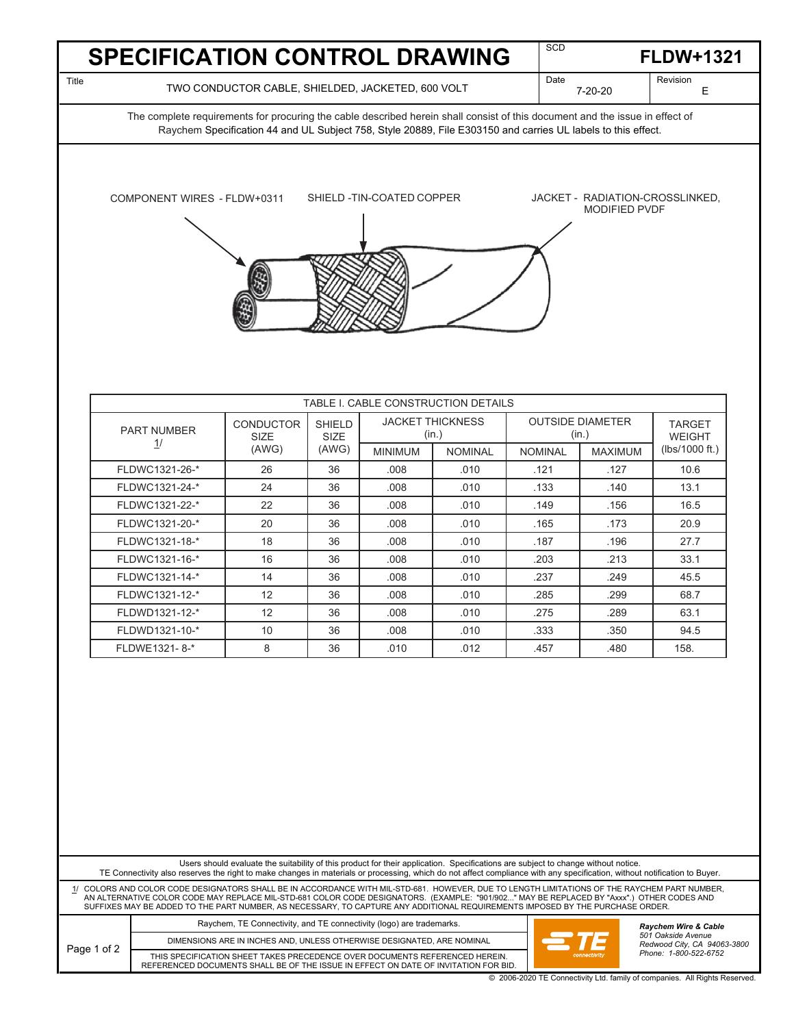|       | <b>SPECIFICATION CONTROL DRAWING</b>                                                                                         | <b>SCD</b>        | <b>FLDW+1321</b> |
|-------|------------------------------------------------------------------------------------------------------------------------------|-------------------|------------------|
| Title | TWO CONDUCTOR CABLE, SHIELDED, JACKETED, 600 VOLT                                                                            | Date<br>$7-20-20$ | Revision         |
|       | The complete requirements for procuring the cable described herein shall consist of this document and the issue in effect of |                   |                  |

Raychem Specification 44 and UL Subject 758, Style 20889, File E303150 and carries UL labels to this effect.



| TABLE I. CABLE CONSTRUCTION DETAILS |                                          |                                       |                                  |                |                                  |                |                                |
|-------------------------------------|------------------------------------------|---------------------------------------|----------------------------------|----------------|----------------------------------|----------------|--------------------------------|
| <b>PART NUMBER</b>                  | <b>CONDUCTOR</b><br><b>SIZE</b><br>(AWG) | <b>SHIELD</b><br><b>SIZE</b><br>(AWG) | <b>JACKET THICKNESS</b><br>(in.) |                | <b>OUTSIDE DIAMETER</b><br>(in.) |                | <b>TARGET</b><br><b>WEIGHT</b> |
| <u> 1/</u>                          |                                          |                                       | <b>MINIMUM</b>                   | <b>NOMINAL</b> | <b>NOMINAL</b>                   | <b>MAXIMUM</b> | (lbs/1000 ft.)                 |
| FLDWC1321-26-*                      | 26                                       | 36                                    | .008                             | .010           | .121                             | .127           | 10.6                           |
| FLDWC1321-24-*                      | 24                                       | 36                                    | .008                             | .010           | .133                             | .140           | 13.1                           |
| FLDWC1321-22-*                      | 22                                       | 36                                    | .008                             | .010           | .149                             | .156           | 16.5                           |
| FLDWC1321-20-*                      | 20                                       | 36                                    | .008                             | .010           | .165                             | .173           | 20.9                           |
| FLDWC1321-18-*                      | 18                                       | 36                                    | .008                             | .010           | .187                             | .196           | 27.7                           |
| FLDWC1321-16-*                      | 16                                       | 36                                    | .008                             | .010           | .203                             | .213           | 33.1                           |
| FLDWC1321-14-*                      | 14                                       | 36                                    | .008                             | .010           | .237                             | .249           | 45.5                           |
| FLDWC1321-12-*                      | 12                                       | 36                                    | .008                             | .010           | .285                             | .299           | 68.7                           |
| FLDWD1321-12-*                      | 12                                       | 36                                    | .008                             | .010           | .275                             | .289           | 63.1                           |
| FLDWD1321-10-*                      | 10                                       | 36                                    | .008                             | .010           | .333                             | .350           | 94.5                           |
| FLDWE1321-8-*                       | 8                                        | 36                                    | .010                             | .012           | .457                             | .480           | 158.                           |

Users should evaluate the suitability of this product for their application. Specifications are subject to change without notice.<br>TE Connectivity also reserves the right to make changes in materials or processing, which d

1/ COLORS AND COLOR CODE DESIGNATORS SHALL BE IN ACCORDANCE WITH MIL-STD-681. HOWEVER, DUE TO LENGTH LIMITATIONS OF THE RAYCHEM PART NUMBER,<br>AN ALTERNATIVE COLOR CODE MAY REPLACE MIL-STD-681 COLOR ADDING I (EXAMPLE: "901/

| Page 1 of 2 | Raychem, TE Connectivity, and TE connectivity (logo) are trademarks.                                                                                               |              | <b>Ravchem Wire &amp; Cable</b><br>501 Oakside Avenue<br>Redwood City, CA 94063-3800<br>Phone: 1-800-522-6752 |
|-------------|--------------------------------------------------------------------------------------------------------------------------------------------------------------------|--------------|---------------------------------------------------------------------------------------------------------------|
|             | DIMENSIONS ARE IN INCHES AND, UNLESS OTHERWISE DESIGNATED, ARE NOMINAL                                                                                             |              |                                                                                                               |
|             | THIS SPECIFICATION SHEET TAKES PRECEDENCE OVER DOCUMENTS REFERENCED HEREIN.<br>REFERENCED DOCUMENTS SHALL BE OF THE ISSUE IN EFFECT ON DATE OF INVITATION FOR BID. | connectivity |                                                                                                               |

© 2006-2020 TE Connectivity Ltd. family of companies. All Rights Reserved.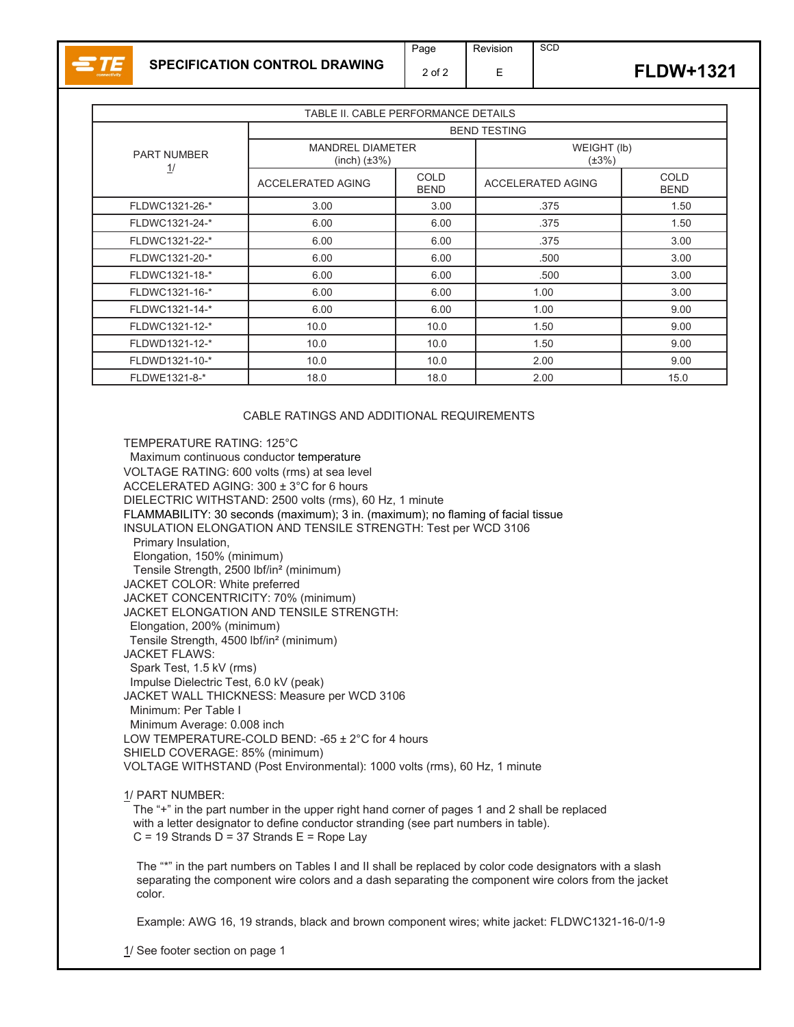

**SCD** 

| TABLE II. CABLE PERFORMANCE DETAILS |                                                 |                            |                            |                            |  |
|-------------------------------------|-------------------------------------------------|----------------------------|----------------------------|----------------------------|--|
|                                     | <b>BEND TESTING</b>                             |                            |                            |                            |  |
| <b>PART NUMBER</b><br><u>1</u> /    | <b>MANDREL DIAMETER</b><br>$(inch)$ $(\pm 3\%)$ |                            | WEIGHT (lb)<br>$(\pm 3\%)$ |                            |  |
|                                     | <b>ACCELERATED AGING</b>                        | <b>COLD</b><br><b>BEND</b> | <b>ACCELERATED AGING</b>   | <b>COLD</b><br><b>BEND</b> |  |
| FLDWC1321-26-*                      | 3.00                                            | 3.00                       | .375                       | 1.50                       |  |
| FLDWC1321-24-*                      | 6.00                                            | 6.00                       | .375                       | 1.50                       |  |
| FLDWC1321-22-*                      | 6.00                                            | 6.00                       | .375                       | 3.00                       |  |
| FLDWC1321-20-*                      | 6.00                                            | 6.00                       | .500                       | 3.00                       |  |
| FLDWC1321-18-*                      | 6.00                                            | 6.00                       | .500                       | 3.00                       |  |
| FLDWC1321-16-*                      | 6.00                                            | 6.00                       | 1.00                       | 3.00                       |  |
| FLDWC1321-14-*                      | 6.00                                            | 6.00                       | 1.00                       | 9.00                       |  |
| FLDWC1321-12-*                      | 10.0                                            | 10.0                       | 1.50                       | 9.00                       |  |
| FLDWD1321-12-*                      | 10.0                                            | 10.0                       | 1.50                       | 9.00                       |  |
| FLDWD1321-10-*                      | 10.0                                            | 10.0                       | 2.00                       | 9.00                       |  |
| FLDWE1321-8-*                       | 18.0                                            | 18.0                       | 2.00                       | 15.0                       |  |

## CABLE RATINGS AND ADDITIONAL REQUIREMENTS

TEMPERATURE RATING: 125°C Maximum continuous conductor temperature VOLTAGE RATING: 600 volts (rms) at sea level ACCELERATED AGING: 300 ± 3°C for 6 hours DIELECTRIC WITHSTAND: 2500 volts (rms), 60 Hz, 1 minute FLAMMABILITY: 30 seconds (maximum); 3 in. (maximum); no flaming of facial tissue INSULATION ELONGATION AND TENSILE STRENGTH: Test per WCD 3106 Primary Insulation, Elongation, 150% (minimum) Tensile Strength, 2500 lbf/in² (minimum) JACKET COLOR: White preferred JACKET CONCENTRICITY: 70% (minimum) JACKET ELONGATION AND TENSILE STRENGTH: Elongation, 200% (minimum) Tensile Strength, 4500 lbf/in² (minimum) JACKET FLAWS: Spark Test, 1.5 kV (rms) Impulse Dielectric Test, 6.0 kV (peak) JACKET WALL THICKNESS: Measure per WCD 3106 Minimum: Per Table I Minimum Average: 0.008 inch LOW TEMPERATURE-COLD BEND: -65 ± 2°C for 4 hours SHIELD COVERAGE: 85% (minimum) VOLTAGE WITHSTAND (Post Environmental): 1000 volts (rms), 60 Hz, 1 minute

## 1/ PART NUMBER:

The "+" in the part number in the upper right hand corner of pages 1 and 2 shall be replaced with a letter designator to define conductor stranding (see part numbers in table).  $C = 19$  Strands  $\overline{D} = 37$  Strands  $\overline{E} =$  Rope Lay

The "\*" in the part numbers on Tables I and II shall be replaced by color code designators with a slash separating the component wire colors and a dash separating the component wire colors from the jacket color.

Example: AWG 16, 19 strands, black and brown component wires; white jacket: FLDWC1321-16-0/1-9

1/ See footer section on page 1